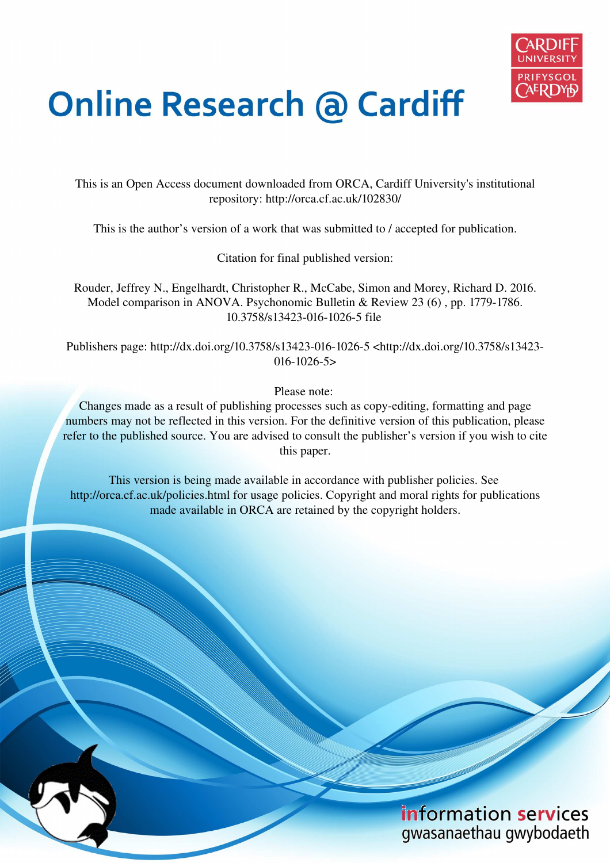

# **Online Research @ Cardiff**

This is an Open Access document downloaded from ORCA, Cardiff University's institutional repository: http://orca.cf.ac.uk/102830/

This is the author's version of a work that was submitted to / accepted for publication.

Citation for final published version:

Rouder, Jeffrey N., Engelhardt, Christopher R., McCabe, Simon and Morey, Richard D. 2016. Model comparison in ANOVA. Psychonomic Bulletin & Review 23 (6) , pp. 1779-1786. 10.3758/s13423-016-1026-5 file

Publishers page: http://dx.doi.org/10.3758/s13423-016-1026-5 <http://dx.doi.org/10.3758/s13423- 016-1026-5>

Please note:

Changes made as a result of publishing processes such as copy-editing, formatting and page numbers may not be reflected in this version. For the definitive version of this publication, please refer to the published source. You are advised to consult the publisher's version if you wish to cite this paper.

This version is being made available in accordance with publisher policies. See http://orca.cf.ac.uk/policies.html for usage policies. Copyright and moral rights for publications made available in ORCA are retained by the copyright holders.

# information services gwasanaethau gwybodaeth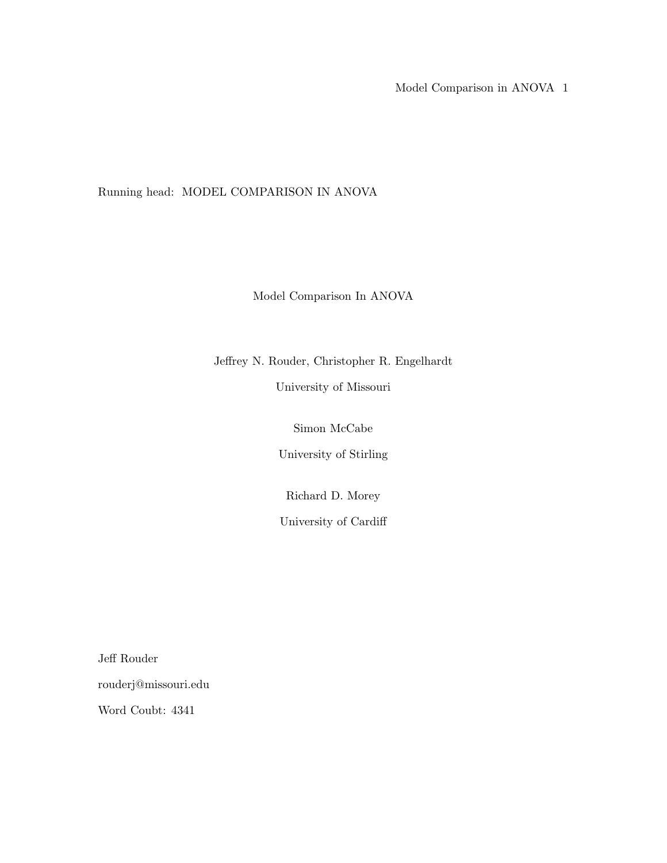Model Comparison in ANOVA 1

Running head: MODEL COMPARISON IN ANOVA

Model Comparison In ANOVA

Jeffrey N. Rouder, Christopher R. Engelhardt

University of Missouri

Simon McCabe

University of Stirling

Richard D. Morey

University of Cardiff

Jeff Rouder rouderj@missouri.edu

Word Coubt: 4341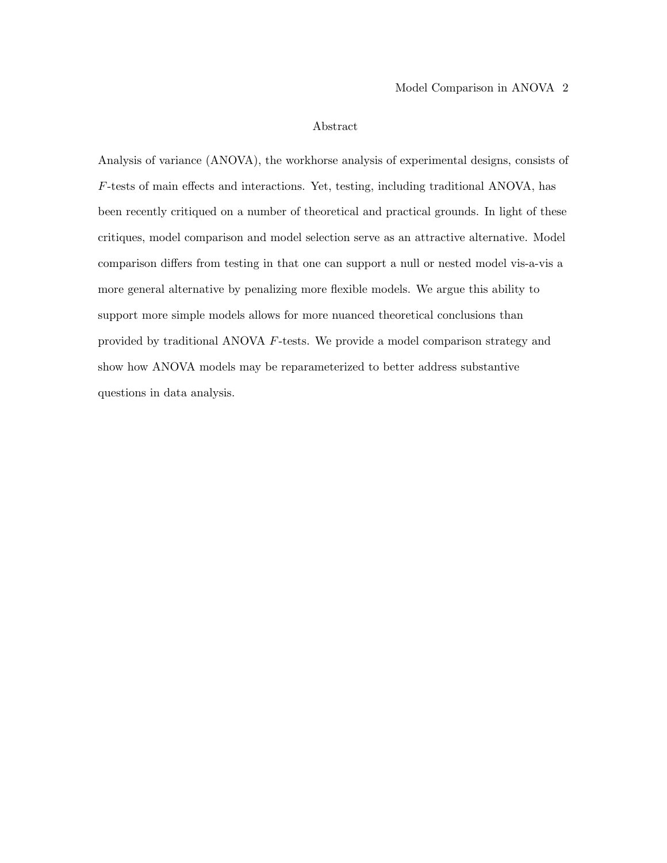#### Abstract

Analysis of variance (ANOVA), the workhorse analysis of experimental designs, consists of F-tests of main effects and interactions. Yet, testing, including traditional ANOVA, has been recently critiqued on a number of theoretical and practical grounds. In light of these critiques, model comparison and model selection serve as an attractive alternative. Model comparison differs from testing in that one can support a null or nested model vis-a-vis a more general alternative by penalizing more flexible models. We argue this ability to support more simple models allows for more nuanced theoretical conclusions than provided by traditional ANOVA F-tests. We provide a model comparison strategy and show how ANOVA models may be reparameterized to better address substantive questions in data analysis.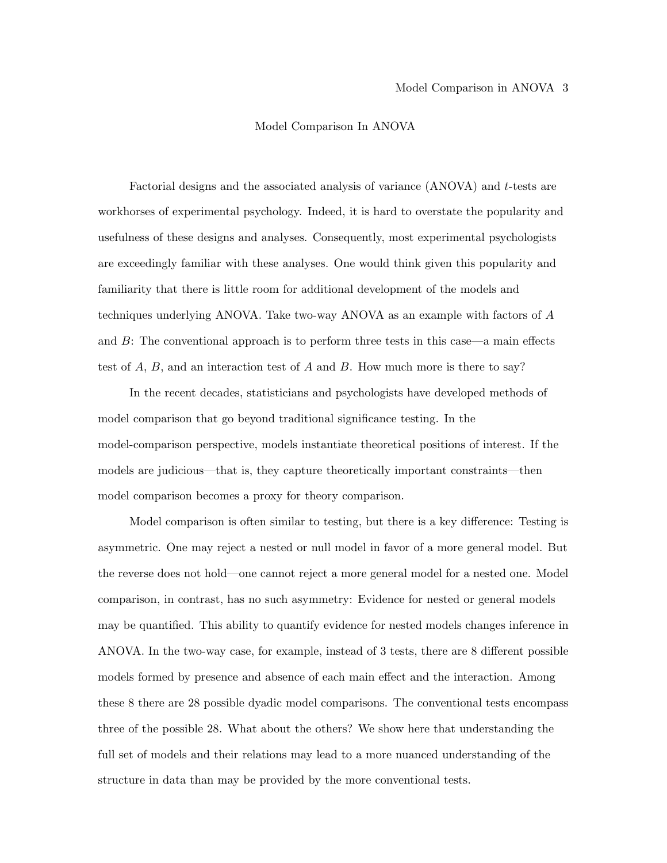#### Model Comparison In ANOVA

Factorial designs and the associated analysis of variance (ANOVA) and t-tests are workhorses of experimental psychology. Indeed, it is hard to overstate the popularity and usefulness of these designs and analyses. Consequently, most experimental psychologists are exceedingly familiar with these analyses. One would think given this popularity and familiarity that there is little room for additional development of the models and techniques underlying ANOVA. Take two-way ANOVA as an example with factors of A and  $B$ : The conventional approach is to perform three tests in this case—a main effects test of  $A$ ,  $B$ , and an interaction test of  $A$  and  $B$ . How much more is there to say?

In the recent decades, statisticians and psychologists have developed methods of model comparison that go beyond traditional significance testing. In the model-comparison perspective, models instantiate theoretical positions of interest. If the models are judicious—that is, they capture theoretically important constraints—then model comparison becomes a proxy for theory comparison.

Model comparison is often similar to testing, but there is a key difference: Testing is asymmetric. One may reject a nested or null model in favor of a more general model. But the reverse does not hold—one cannot reject a more general model for a nested one. Model comparison, in contrast, has no such asymmetry: Evidence for nested or general models may be quantified. This ability to quantify evidence for nested models changes inference in ANOVA. In the two-way case, for example, instead of 3 tests, there are 8 different possible models formed by presence and absence of each main effect and the interaction. Among these 8 there are 28 possible dyadic model comparisons. The conventional tests encompass three of the possible 28. What about the others? We show here that understanding the full set of models and their relations may lead to a more nuanced understanding of the structure in data than may be provided by the more conventional tests.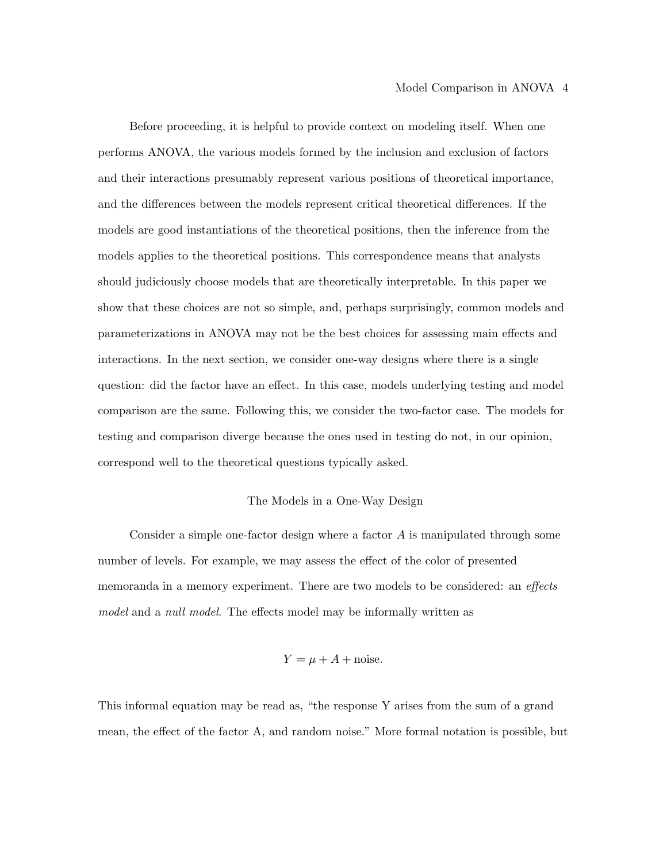Before proceeding, it is helpful to provide context on modeling itself. When one performs ANOVA, the various models formed by the inclusion and exclusion of factors and their interactions presumably represent various positions of theoretical importance, and the differences between the models represent critical theoretical differences. If the models are good instantiations of the theoretical positions, then the inference from the models applies to the theoretical positions. This correspondence means that analysts should judiciously choose models that are theoretically interpretable. In this paper we show that these choices are not so simple, and, perhaps surprisingly, common models and parameterizations in ANOVA may not be the best choices for assessing main effects and interactions. In the next section, we consider one-way designs where there is a single question: did the factor have an effect. In this case, models underlying testing and model comparison are the same. Following this, we consider the two-factor case. The models for testing and comparison diverge because the ones used in testing do not, in our opinion, correspond well to the theoretical questions typically asked.

#### The Models in a One-Way Design

Consider a simple one-factor design where a factor A is manipulated through some number of levels. For example, we may assess the effect of the color of presented memoranda in a memory experiment. There are two models to be considered: an *effects* model and a null model. The effects model may be informally written as

$$
Y = \mu + A + \text{noise}.
$$

This informal equation may be read as, "the response Y arises from the sum of a grand mean, the effect of the factor A, and random noise." More formal notation is possible, but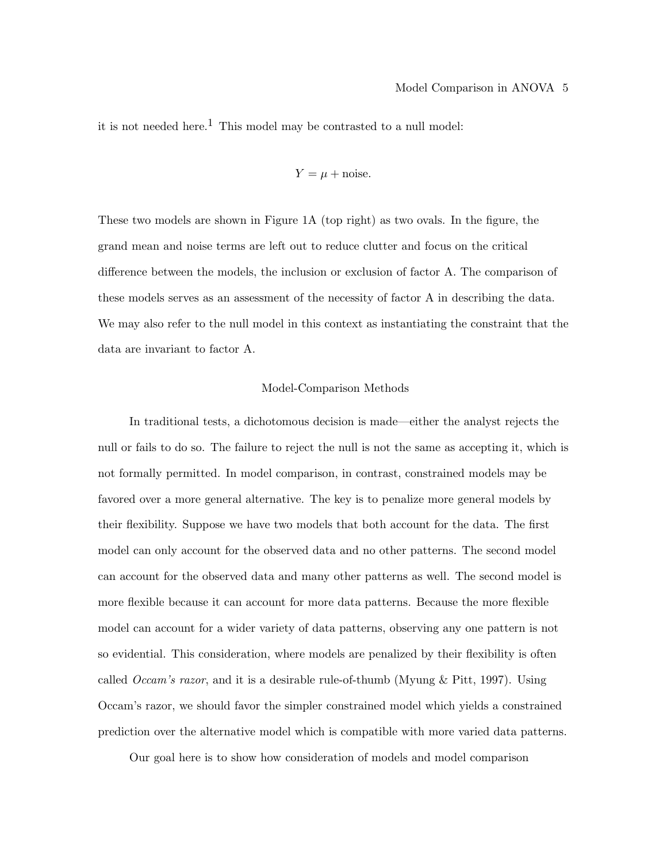it is not needed here.<sup>1</sup> This model may be contrasted to a null model:

$$
Y = \mu + \text{noise}.
$$

These two models are shown in Figure 1A (top right) as two ovals. In the figure, the grand mean and noise terms are left out to reduce clutter and focus on the critical difference between the models, the inclusion or exclusion of factor A. The comparison of these models serves as an assessment of the necessity of factor A in describing the data. We may also refer to the null model in this context as instantiating the constraint that the data are invariant to factor A.

#### Model-Comparison Methods

In traditional tests, a dichotomous decision is made—either the analyst rejects the null or fails to do so. The failure to reject the null is not the same as accepting it, which is not formally permitted. In model comparison, in contrast, constrained models may be favored over a more general alternative. The key is to penalize more general models by their flexibility. Suppose we have two models that both account for the data. The first model can only account for the observed data and no other patterns. The second model can account for the observed data and many other patterns as well. The second model is more flexible because it can account for more data patterns. Because the more flexible model can account for a wider variety of data patterns, observing any one pattern is not so evidential. This consideration, where models are penalized by their flexibility is often called *Occam's razor*, and it is a desirable rule-of-thumb (Myung  $\&$  Pitt, 1997). Using Occam's razor, we should favor the simpler constrained model which yields a constrained prediction over the alternative model which is compatible with more varied data patterns.

Our goal here is to show how consideration of models and model comparison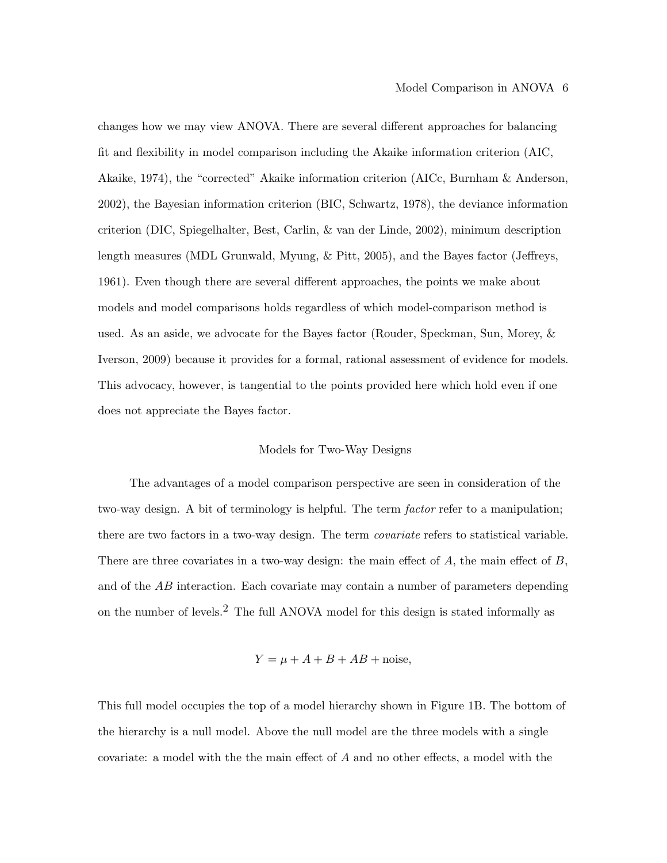changes how we may view ANOVA. There are several different approaches for balancing fit and flexibility in model comparison including the Akaike information criterion (AIC, Akaike, 1974), the "corrected" Akaike information criterion (AICc, Burnham & Anderson, 2002), the Bayesian information criterion (BIC, Schwartz, 1978), the deviance information criterion (DIC, Spiegelhalter, Best, Carlin, & van der Linde, 2002), minimum description length measures (MDL Grunwald, Myung, & Pitt, 2005), and the Bayes factor (Jeffreys, 1961). Even though there are several different approaches, the points we make about models and model comparisons holds regardless of which model-comparison method is used. As an aside, we advocate for the Bayes factor (Rouder, Speckman, Sun, Morey, & Iverson, 2009) because it provides for a formal, rational assessment of evidence for models. This advocacy, however, is tangential to the points provided here which hold even if one does not appreciate the Bayes factor.

#### Models for Two-Way Designs

The advantages of a model comparison perspective are seen in consideration of the two-way design. A bit of terminology is helpful. The term *factor* refer to a manipulation; there are two factors in a two-way design. The term covariate refers to statistical variable. There are three covariates in a two-way design: the main effect of  $A$ , the main effect of  $B$ , and of the  $AB$  interaction. Each covariate may contain a number of parameters depending on the number of levels.<sup>2</sup> The full ANOVA model for this design is stated informally as

$$
Y = \mu + A + B + AB + \text{noise},
$$

This full model occupies the top of a model hierarchy shown in Figure 1B. The bottom of the hierarchy is a null model. Above the null model are the three models with a single covariate: a model with the the main effect of A and no other effects, a model with the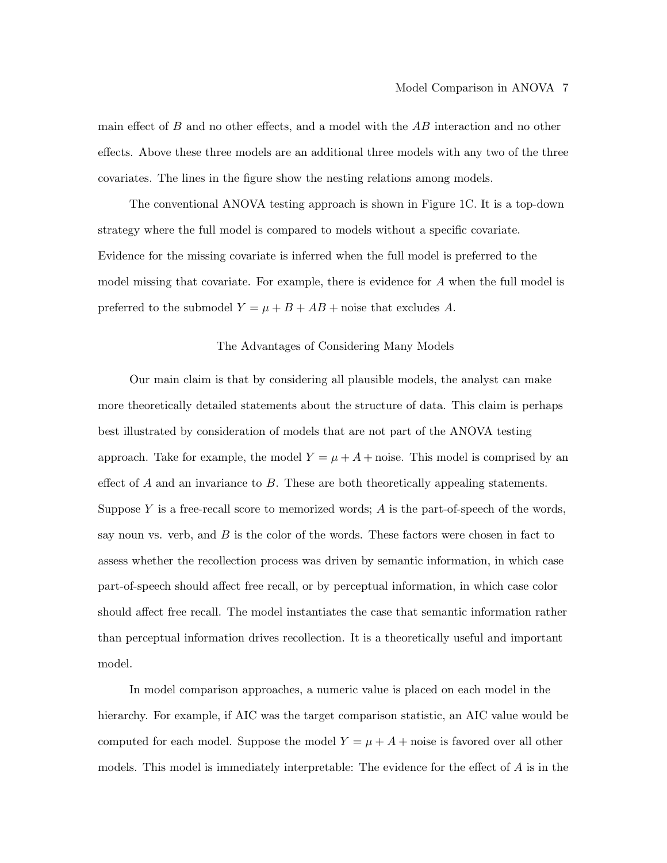main effect of  $B$  and no other effects, and a model with the  $AB$  interaction and no other effects. Above these three models are an additional three models with any two of the three covariates. The lines in the figure show the nesting relations among models.

The conventional ANOVA testing approach is shown in Figure 1C. It is a top-down strategy where the full model is compared to models without a specific covariate. Evidence for the missing covariate is inferred when the full model is preferred to the model missing that covariate. For example, there is evidence for A when the full model is preferred to the submodel  $Y = \mu + B + AB +$  noise that excludes A.

#### The Advantages of Considering Many Models

Our main claim is that by considering all plausible models, the analyst can make more theoretically detailed statements about the structure of data. This claim is perhaps best illustrated by consideration of models that are not part of the ANOVA testing approach. Take for example, the model  $Y = \mu + A + \text{noise}$ . This model is comprised by an effect of  $A$  and an invariance to  $B$ . These are both theoretically appealing statements. Suppose Y is a free-recall score to memorized words;  $A$  is the part-of-speech of the words, say noun vs. verb, and  $B$  is the color of the words. These factors were chosen in fact to assess whether the recollection process was driven by semantic information, in which case part-of-speech should affect free recall, or by perceptual information, in which case color should affect free recall. The model instantiates the case that semantic information rather than perceptual information drives recollection. It is a theoretically useful and important model.

In model comparison approaches, a numeric value is placed on each model in the hierarchy. For example, if AIC was the target comparison statistic, an AIC value would be computed for each model. Suppose the model  $Y = \mu + A +$  noise is favored over all other models. This model is immediately interpretable: The evidence for the effect of  $A$  is in the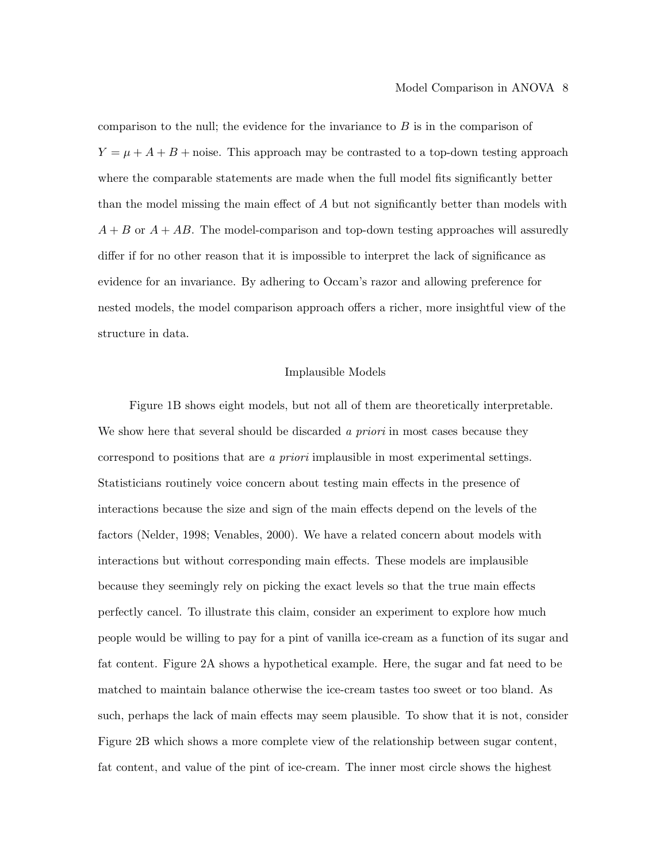comparison to the null; the evidence for the invariance to  $B$  is in the comparison of  $Y = \mu + A + B$  + noise. This approach may be contrasted to a top-down testing approach where the comparable statements are made when the full model fits significantly better than the model missing the main effect of A but not significantly better than models with  $A + B$  or  $A + AB$ . The model-comparison and top-down testing approaches will assuredly differ if for no other reason that it is impossible to interpret the lack of significance as evidence for an invariance. By adhering to Occam's razor and allowing preference for nested models, the model comparison approach offers a richer, more insightful view of the structure in data.

#### Implausible Models

Figure 1B shows eight models, but not all of them are theoretically interpretable. We show here that several should be discarded a priori in most cases because they correspond to positions that are a priori implausible in most experimental settings. Statisticians routinely voice concern about testing main effects in the presence of interactions because the size and sign of the main effects depend on the levels of the factors (Nelder, 1998; Venables, 2000). We have a related concern about models with interactions but without corresponding main effects. These models are implausible because they seemingly rely on picking the exact levels so that the true main effects perfectly cancel. To illustrate this claim, consider an experiment to explore how much people would be willing to pay for a pint of vanilla ice-cream as a function of its sugar and fat content. Figure 2A shows a hypothetical example. Here, the sugar and fat need to be matched to maintain balance otherwise the ice-cream tastes too sweet or too bland. As such, perhaps the lack of main effects may seem plausible. To show that it is not, consider Figure 2B which shows a more complete view of the relationship between sugar content, fat content, and value of the pint of ice-cream. The inner most circle shows the highest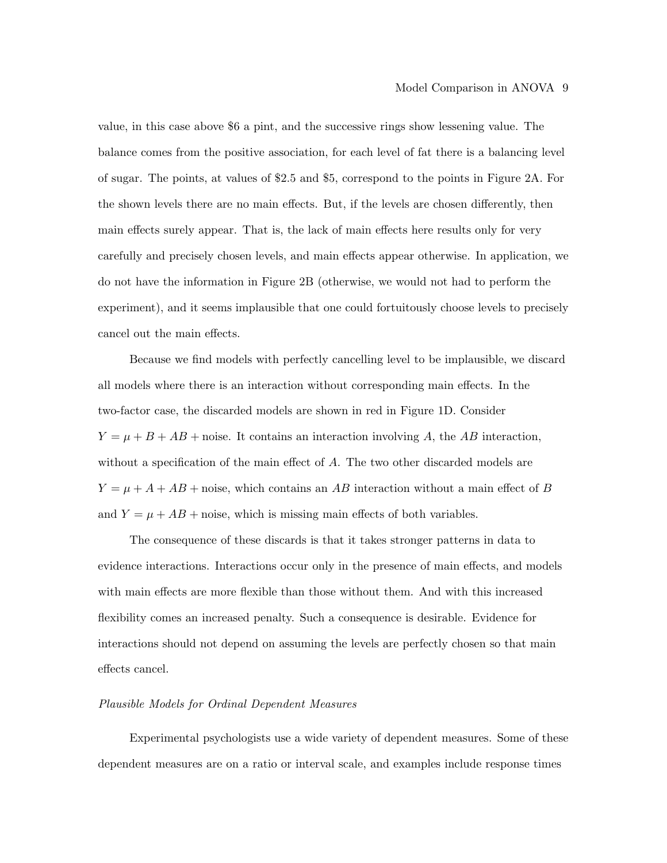value, in this case above \$6 a pint, and the successive rings show lessening value. The balance comes from the positive association, for each level of fat there is a balancing level of sugar. The points, at values of \$2.5 and \$5, correspond to the points in Figure 2A. For the shown levels there are no main effects. But, if the levels are chosen differently, then main effects surely appear. That is, the lack of main effects here results only for very carefully and precisely chosen levels, and main effects appear otherwise. In application, we do not have the information in Figure 2B (otherwise, we would not had to perform the experiment), and it seems implausible that one could fortuitously choose levels to precisely cancel out the main effects.

Because we find models with perfectly cancelling level to be implausible, we discard all models where there is an interaction without corresponding main effects. In the two-factor case, the discarded models are shown in red in Figure 1D. Consider  $Y = \mu + B + AB +$  noise. It contains an interaction involving A, the AB interaction, without a specification of the main effect of A. The two other discarded models are  $Y = \mu + A + AB +$  noise, which contains an AB interaction without a main effect of B and  $Y = \mu + AB +$  noise, which is missing main effects of both variables.

The consequence of these discards is that it takes stronger patterns in data to evidence interactions. Interactions occur only in the presence of main effects, and models with main effects are more flexible than those without them. And with this increased flexibility comes an increased penalty. Such a consequence is desirable. Evidence for interactions should not depend on assuming the levels are perfectly chosen so that main effects cancel.

#### Plausible Models for Ordinal Dependent Measures

Experimental psychologists use a wide variety of dependent measures. Some of these dependent measures are on a ratio or interval scale, and examples include response times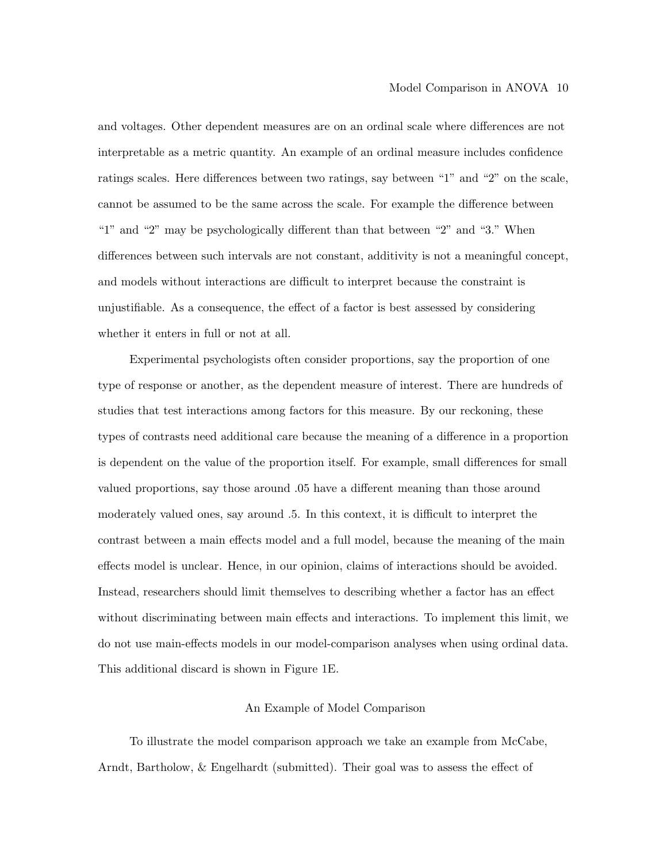and voltages. Other dependent measures are on an ordinal scale where differences are not interpretable as a metric quantity. An example of an ordinal measure includes confidence ratings scales. Here differences between two ratings, say between "1" and "2" on the scale, cannot be assumed to be the same across the scale. For example the difference between "1" and "2" may be psychologically different than that between "2" and "3." When differences between such intervals are not constant, additivity is not a meaningful concept, and models without interactions are difficult to interpret because the constraint is unjustifiable. As a consequence, the effect of a factor is best assessed by considering whether it enters in full or not at all.

Experimental psychologists often consider proportions, say the proportion of one type of response or another, as the dependent measure of interest. There are hundreds of studies that test interactions among factors for this measure. By our reckoning, these types of contrasts need additional care because the meaning of a difference in a proportion is dependent on the value of the proportion itself. For example, small differences for small valued proportions, say those around .05 have a different meaning than those around moderately valued ones, say around .5. In this context, it is difficult to interpret the contrast between a main effects model and a full model, because the meaning of the main effects model is unclear. Hence, in our opinion, claims of interactions should be avoided. Instead, researchers should limit themselves to describing whether a factor has an effect without discriminating between main effects and interactions. To implement this limit, we do not use main-effects models in our model-comparison analyses when using ordinal data. This additional discard is shown in Figure 1E.

#### An Example of Model Comparison

To illustrate the model comparison approach we take an example from McCabe, Arndt, Bartholow, & Engelhardt (submitted). Their goal was to assess the effect of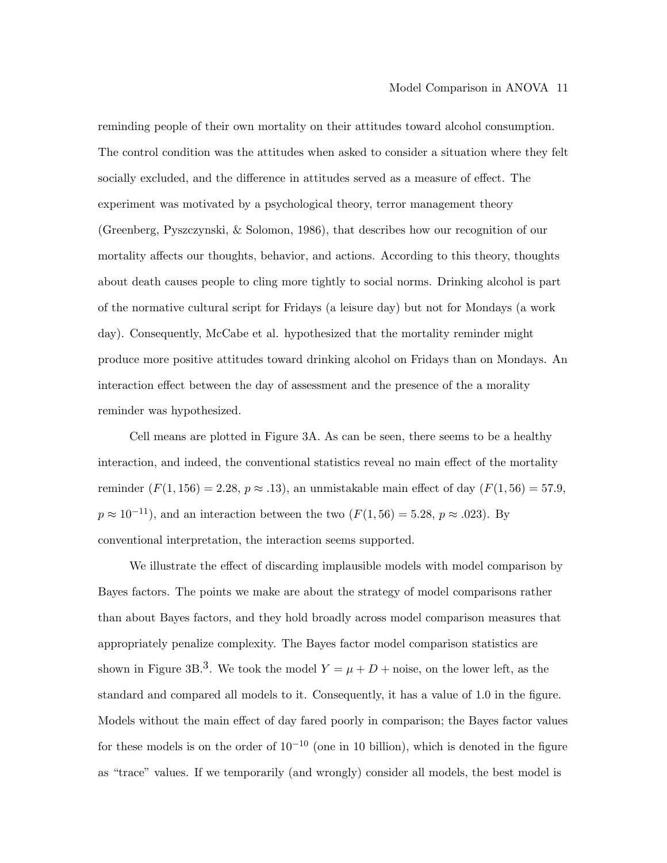reminding people of their own mortality on their attitudes toward alcohol consumption. The control condition was the attitudes when asked to consider a situation where they felt socially excluded, and the difference in attitudes served as a measure of effect. The experiment was motivated by a psychological theory, terror management theory (Greenberg, Pyszczynski, & Solomon, 1986), that describes how our recognition of our mortality affects our thoughts, behavior, and actions. According to this theory, thoughts about death causes people to cling more tightly to social norms. Drinking alcohol is part of the normative cultural script for Fridays (a leisure day) but not for Mondays (a work day). Consequently, McCabe et al. hypothesized that the mortality reminder might produce more positive attitudes toward drinking alcohol on Fridays than on Mondays. An interaction effect between the day of assessment and the presence of the a morality reminder was hypothesized.

Cell means are plotted in Figure 3A. As can be seen, there seems to be a healthy interaction, and indeed, the conventional statistics reveal no main effect of the mortality reminder  $(F(1, 156) = 2.28, p \approx .13)$ , an unmistakable main effect of day  $(F(1, 56) = 57.9,$  $p \approx 10^{-11}$ , and an interaction between the two  $(F(1, 56) = 5.28, p \approx .023)$ . By conventional interpretation, the interaction seems supported.

We illustrate the effect of discarding implausible models with model comparison by Bayes factors. The points we make are about the strategy of model comparisons rather than about Bayes factors, and they hold broadly across model comparison measures that appropriately penalize complexity. The Bayes factor model comparison statistics are shown in Figure 3B.<sup>3</sup>. We took the model  $Y = \mu + D +$  noise, on the lower left, as the standard and compared all models to it. Consequently, it has a value of 1.0 in the figure. Models without the main effect of day fared poorly in comparison; the Bayes factor values for these models is on the order of  $10^{-10}$  (one in 10 billion), which is denoted in the figure as "trace" values. If we temporarily (and wrongly) consider all models, the best model is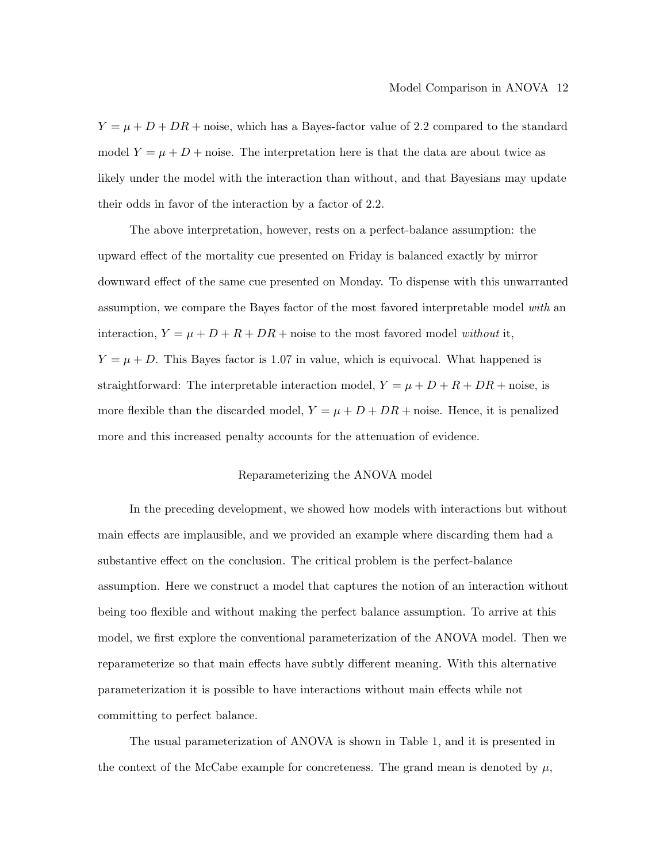$Y = \mu + D + DR$  + noise, which has a Bayes-factor value of 2.2 compared to the standard model  $Y = \mu + D +$  noise. The interpretation here is that the data are about twice as likely under the model with the interaction than without, and that Bayesians may update their odds in favor of the interaction by a factor of 2.2.

The above interpretation, however, rests on a perfect-balance assumption: the upward effect of the mortality cue presented on Friday is balanced exactly by mirror downward effect of the same cue presented on Monday. To dispense with this unwarranted assumption, we compare the Bayes factor of the most favored interpretable model with an interaction,  $Y = \mu + D + R + DR$  + noise to the most favored model without it,  $Y = \mu + D$ . This Bayes factor is 1.07 in value, which is equivocal. What happened is straightforward: The interpretable interaction model,  $Y = \mu + D + R + DR + \text{noise}$ , is more flexible than the discarded model,  $Y = \mu + D + DR$  + noise. Hence, it is penalized more and this increased penalty accounts for the attenuation of evidence.

#### Reparameterizing the ANOVA model

In the preceding development, we showed how models with interactions but without main effects are implausible, and we provided an example where discarding them had a substantive effect on the conclusion. The critical problem is the perfect-balance assumption. Here we construct a model that captures the notion of an interaction without being too flexible and without making the perfect balance assumption. To arrive at this model, we first explore the conventional parameterization of the ANOVA model. Then we reparameterize so that main effects have subtly different meaning. With this alternative parameterization it is possible to have interactions without main effects while not committing to perfect balance.

The usual parameterization of ANOVA is shown in Table 1, and it is presented in the context of the McCabe example for concreteness. The grand mean is denoted by  $\mu$ ,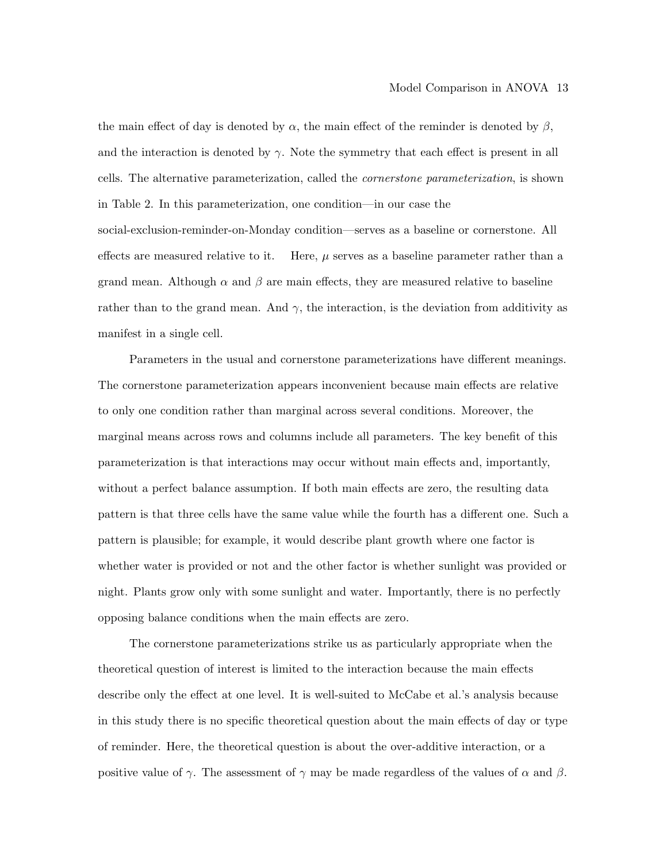the main effect of day is denoted by  $\alpha$ , the main effect of the reminder is denoted by  $\beta$ , and the interaction is denoted by  $\gamma$ . Note the symmetry that each effect is present in all cells. The alternative parameterization, called the cornerstone parameterization, is shown in Table 2. In this parameterization, one condition—in our case the social-exclusion-reminder-on-Monday condition—serves as a baseline or cornerstone. All effects are measured relative to it. Here,  $\mu$  serves as a baseline parameter rather than a grand mean. Although  $\alpha$  and  $\beta$  are main effects, they are measured relative to baseline rather than to the grand mean. And  $\gamma$ , the interaction, is the deviation from additivity as manifest in a single cell.

Parameters in the usual and cornerstone parameterizations have different meanings. The cornerstone parameterization appears inconvenient because main effects are relative to only one condition rather than marginal across several conditions. Moreover, the marginal means across rows and columns include all parameters. The key benefit of this parameterization is that interactions may occur without main effects and, importantly, without a perfect balance assumption. If both main effects are zero, the resulting data pattern is that three cells have the same value while the fourth has a different one. Such a pattern is plausible; for example, it would describe plant growth where one factor is whether water is provided or not and the other factor is whether sunlight was provided or night. Plants grow only with some sunlight and water. Importantly, there is no perfectly opposing balance conditions when the main effects are zero.

The cornerstone parameterizations strike us as particularly appropriate when the theoretical question of interest is limited to the interaction because the main effects describe only the effect at one level. It is well-suited to McCabe et al.'s analysis because in this study there is no specific theoretical question about the main effects of day or type of reminder. Here, the theoretical question is about the over-additive interaction, or a positive value of  $\gamma$ . The assessment of  $\gamma$  may be made regardless of the values of  $\alpha$  and  $\beta$ .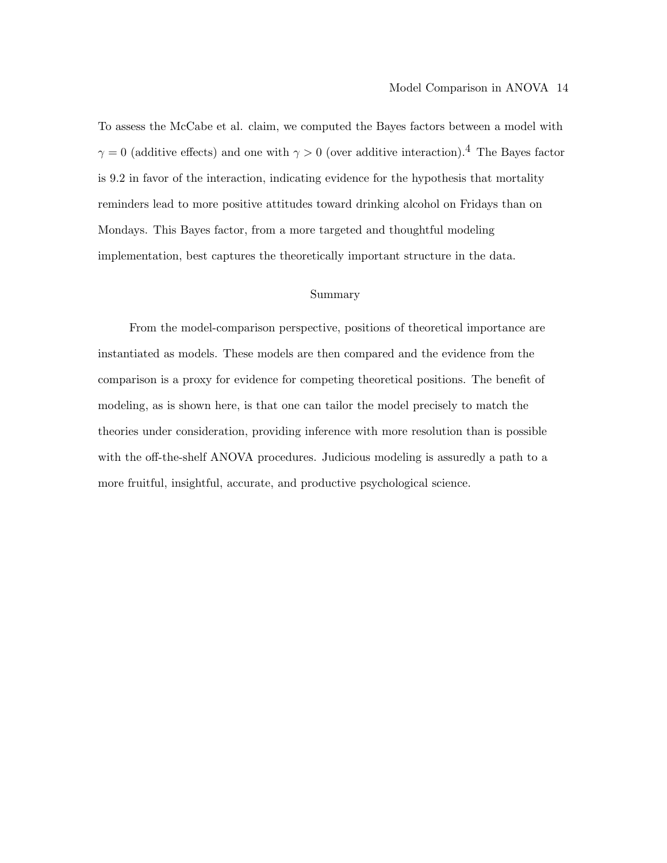To assess the McCabe et al. claim, we computed the Bayes factors between a model with  $\gamma = 0$  (additive effects) and one with  $\gamma > 0$  (over additive interaction).<sup>4</sup> The Bayes factor is 9.2 in favor of the interaction, indicating evidence for the hypothesis that mortality reminders lead to more positive attitudes toward drinking alcohol on Fridays than on Mondays. This Bayes factor, from a more targeted and thoughtful modeling implementation, best captures the theoretically important structure in the data.

#### Summary

From the model-comparison perspective, positions of theoretical importance are instantiated as models. These models are then compared and the evidence from the comparison is a proxy for evidence for competing theoretical positions. The benefit of modeling, as is shown here, is that one can tailor the model precisely to match the theories under consideration, providing inference with more resolution than is possible with the off-the-shelf ANOVA procedures. Judicious modeling is assuredly a path to a more fruitful, insightful, accurate, and productive psychological science.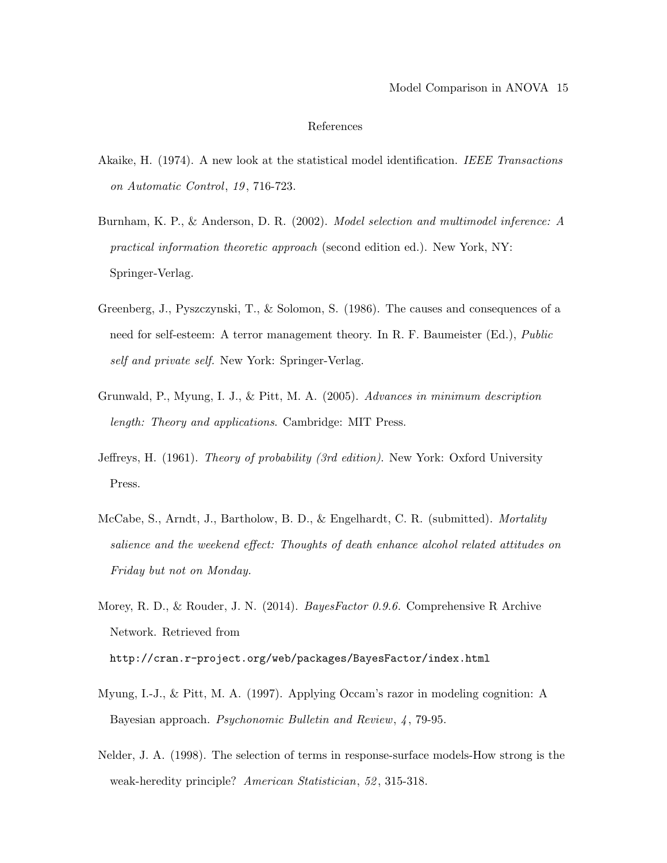#### References

- Akaike, H. (1974). A new look at the statistical model identification. IEEE Transactions on Automatic Control, 19 , 716-723.
- Burnham, K. P., & Anderson, D. R. (2002). Model selection and multimodel inference: A practical information theoretic approach (second edition ed.). New York, NY: Springer-Verlag.
- Greenberg, J., Pyszczynski, T., & Solomon, S. (1986). The causes and consequences of a need for self-esteem: A terror management theory. In R. F. Baumeister (Ed.), Public self and private self. New York: Springer-Verlag.
- Grunwald, P., Myung, I. J., & Pitt, M. A. (2005). Advances in minimum description length: Theory and applications. Cambridge: MIT Press.
- Jeffreys, H. (1961). Theory of probability (3rd edition). New York: Oxford University Press.
- McCabe, S., Arndt, J., Bartholow, B. D., & Engelhardt, C. R. (submitted). *Mortality* salience and the weekend effect: Thoughts of death enhance alcohol related attitudes on Friday but not on Monday.
- Morey, R. D., & Rouder, J. N. (2014). *BayesFactor 0.9.6.* Comprehensive R Archive Network. Retrieved from http://cran.r-project.org/web/packages/BayesFactor/index.html
- 
- Myung, I.-J., & Pitt, M. A. (1997). Applying Occam's razor in modeling cognition: A Bayesian approach. Psychonomic Bulletin and Review, 4, 79-95.
- Nelder, J. A. (1998). The selection of terms in response-surface models-How strong is the weak-heredity principle? American Statistician, 52, 315-318.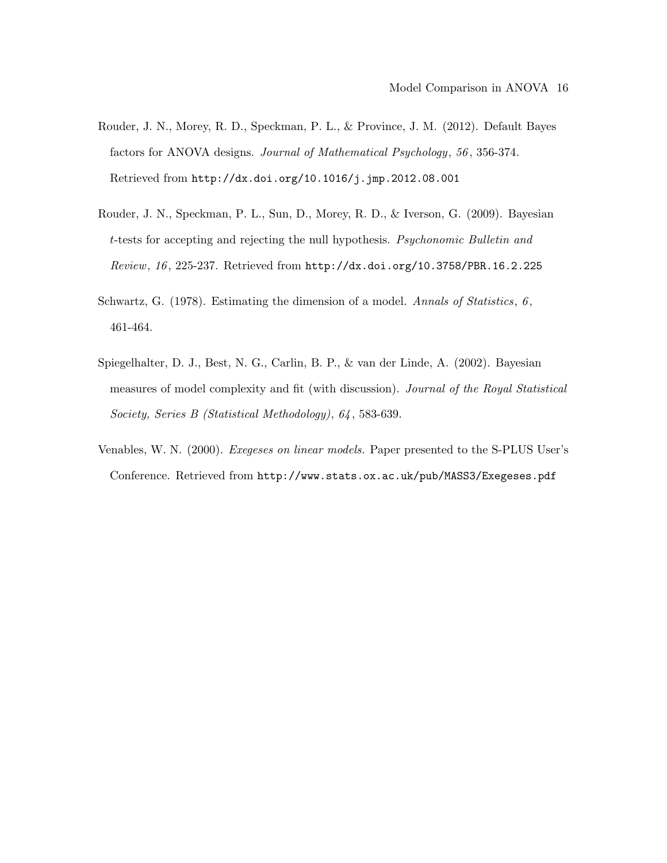- Rouder, J. N., Morey, R. D., Speckman, P. L., & Province, J. M. (2012). Default Bayes factors for ANOVA designs. Journal of Mathematical Psychology, 56 , 356-374. Retrieved from http://dx.doi.org/10.1016/j.jmp.2012.08.001
- Rouder, J. N., Speckman, P. L., Sun, D., Morey, R. D., & Iverson, G. (2009). Bayesian t-tests for accepting and rejecting the null hypothesis. Psychonomic Bulletin and Review, 16 , 225-237. Retrieved from http://dx.doi.org/10.3758/PBR.16.2.225
- Schwartz, G.  $(1978)$ . Estimating the dimension of a model. Annals of Statistics, 6, 461-464.
- Spiegelhalter, D. J., Best, N. G., Carlin, B. P., & van der Linde, A. (2002). Bayesian measures of model complexity and fit (with discussion). Journal of the Royal Statistical Society, Series B (Statistical Methodology), 64 , 583-639.
- Venables, W. N. (2000). Exegeses on linear models. Paper presented to the S-PLUS User's Conference. Retrieved from http://www.stats.ox.ac.uk/pub/MASS3/Exegeses.pdf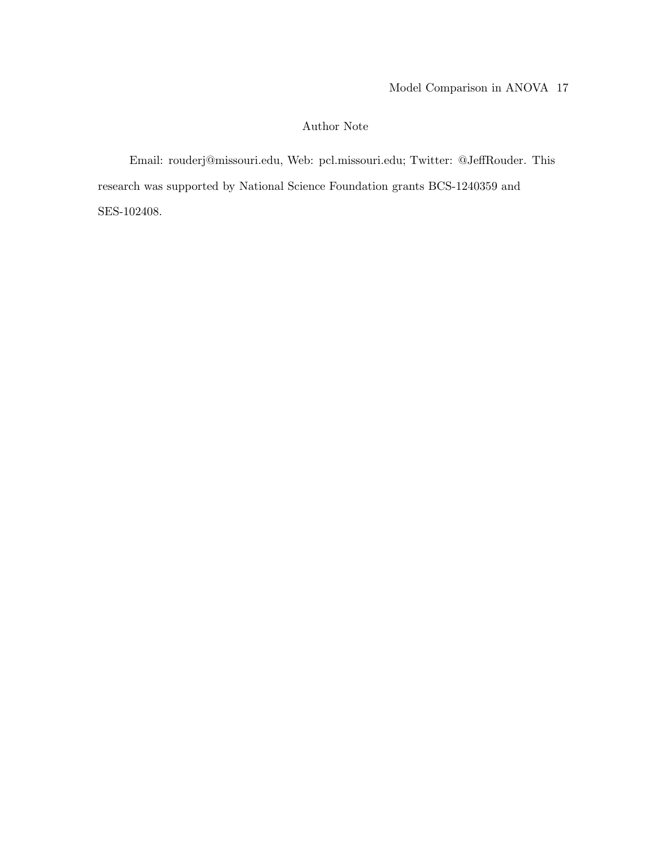### Author Note

Email: rouderj@missouri.edu, Web: pcl.missouri.edu; Twitter: @JeffRouder. This research was supported by National Science Foundation grants BCS-1240359 and SES-102408.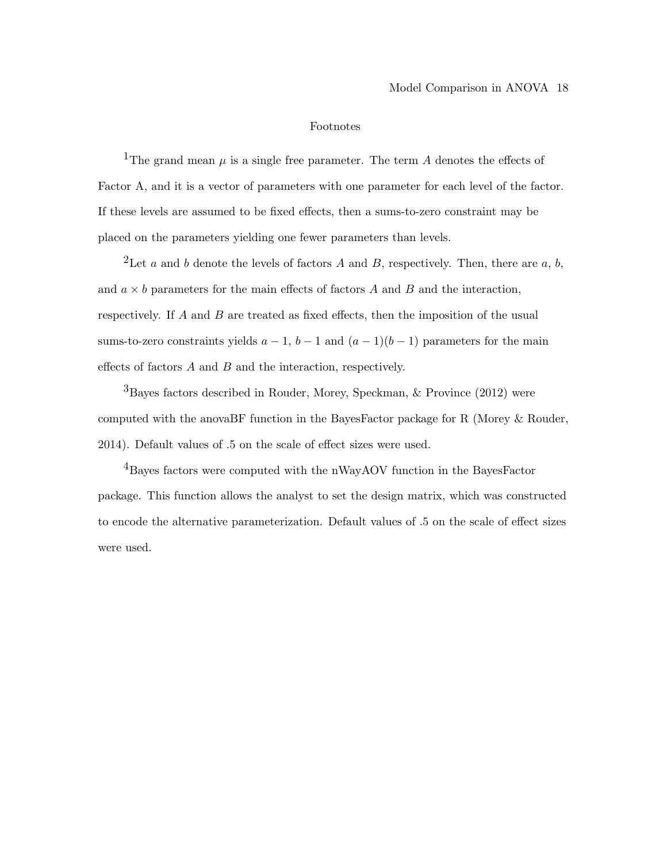#### Footnotes

<sup>1</sup>The grand mean  $\mu$  is a single free parameter. The term A denotes the effects of Factor A, and it is a vector of parameters with one parameter for each level of the factor. If these levels are assumed to be fixed effects, then a sums-to-zero constraint may be placed on the parameters yielding one fewer parameters than levels.

<sup>2</sup>Let a and b denote the levels of factors A and B, respectively. Then, there are a, b, and  $a \times b$  parameters for the main effects of factors A and B and the interaction, respectively. If A and B are treated as fixed effects, then the imposition of the usual sums-to-zero constraints yields  $a - 1$ ,  $b - 1$  and  $(a - 1)(b - 1)$  parameters for the main effects of factors  $A$  and  $B$  and the interaction, respectively.

3Bayes factors described in Rouder, Morey, Speckman, & Province (2012) were computed with the anovaBF function in the BayesFactor package for R (Morey & Rouder, 2014). Default values of .5 on the scale of effect sizes were used.

<sup>4</sup>Bayes factors were computed with the nWayAOV function in the BayesFactor package. This function allows the analyst to set the design matrix, which was constructed to encode the alternative parameterization. Default values of .5 on the scale of effect sizes were used.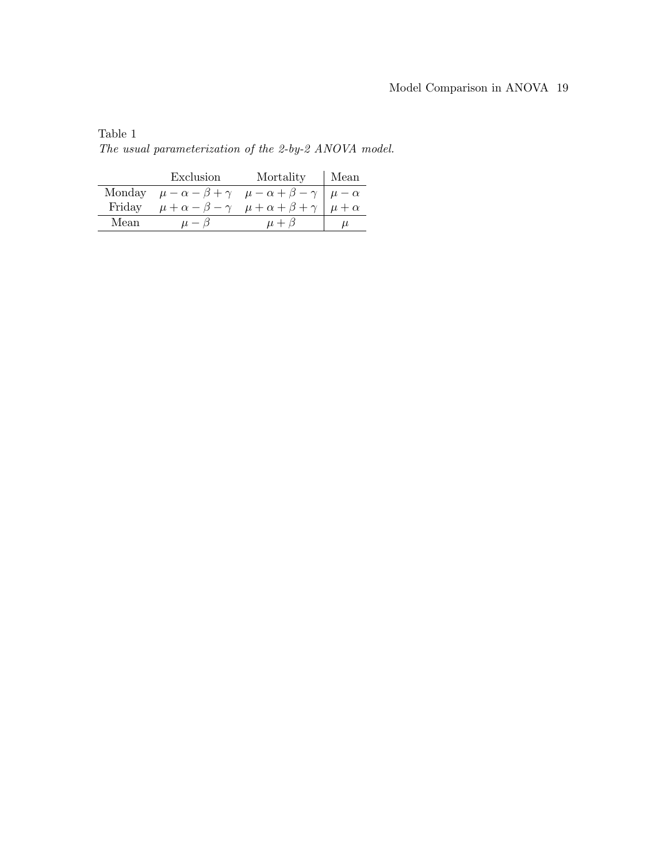## Model Comparison in ANOVA 19

|        | Exclusion                                           | Mortality                                                       | Mean           |
|--------|-----------------------------------------------------|-----------------------------------------------------------------|----------------|
| Monday | $\mu-\alpha-\beta+\gamma$ $\mu-\alpha+\beta-\gamma$ |                                                                 | $\mu - \alpha$ |
| Friday |                                                     | $\mu + \alpha - \beta - \gamma$ $\mu + \alpha + \beta + \gamma$ | $\mu + \alpha$ |
| Mean   | $\mu - \beta$                                       | $\mu + \beta$                                                   | u              |
|        |                                                     |                                                                 |                |

Table 1 The usual parameterization of the 2-by-2 ANOVA model.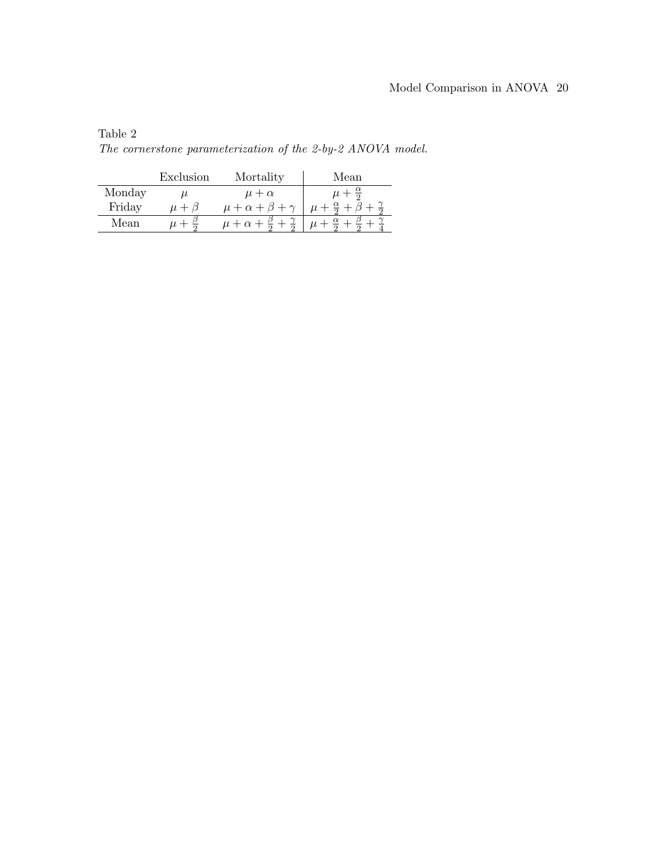| Table 2 |                                                             |  |  |
|---------|-------------------------------------------------------------|--|--|
|         | The cornerstone parameterization of the 2-by-2 ANOVA model. |  |  |

|        | Exclusion     | Mortality                        | Mean                       |
|--------|---------------|----------------------------------|----------------------------|
| Monday | u             | $\mu + \alpha$                   | $\mu + \frac{\alpha}{2}$   |
| Friday | $\mu + \beta$ | $\mu + \alpha + \beta + \gamma$  | $\mu + \frac{\alpha}{2} +$ |
| Mean   | $\mu +$       | $\mu + \alpha + \frac{\beta}{2}$ | $\alpha$<br>$\mu$ -        |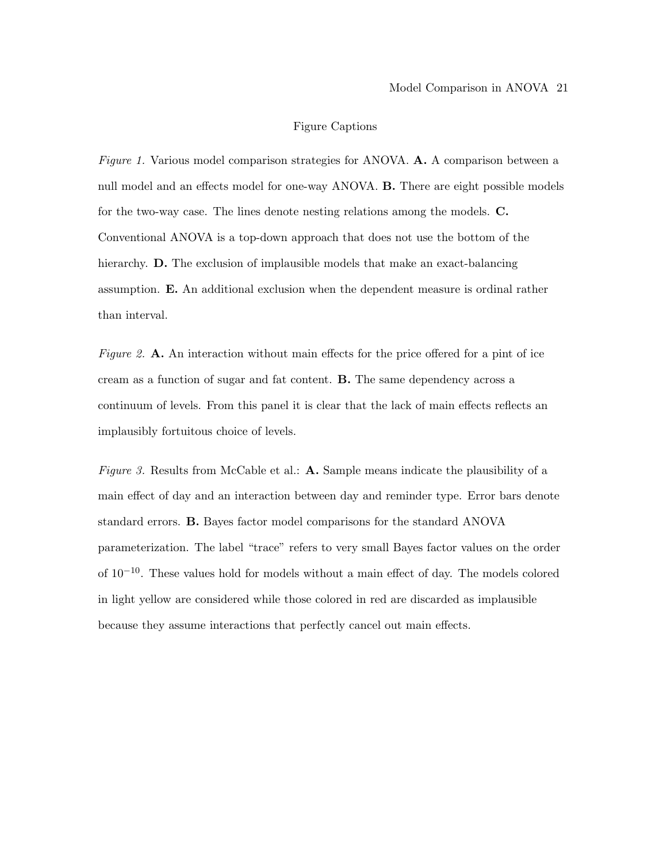#### Figure Captions

Figure 1. Various model comparison strategies for ANOVA. A. A comparison between a null model and an effects model for one-way ANOVA. B. There are eight possible models for the two-way case. The lines denote nesting relations among the models. C. Conventional ANOVA is a top-down approach that does not use the bottom of the hierarchy. **D.** The exclusion of implausible models that make an exact-balancing assumption. E. An additional exclusion when the dependent measure is ordinal rather than interval.

Figure 2. A. An interaction without main effects for the price offered for a pint of ice cream as a function of sugar and fat content. B. The same dependency across a continuum of levels. From this panel it is clear that the lack of main effects reflects an implausibly fortuitous choice of levels.

Figure 3. Results from McCable et al.: A. Sample means indicate the plausibility of a main effect of day and an interaction between day and reminder type. Error bars denote standard errors. B. Bayes factor model comparisons for the standard ANOVA parameterization. The label "trace" refers to very small Bayes factor values on the order of 10−10. These values hold for models without a main effect of day. The models colored in light yellow are considered while those colored in red are discarded as implausible because they assume interactions that perfectly cancel out main effects.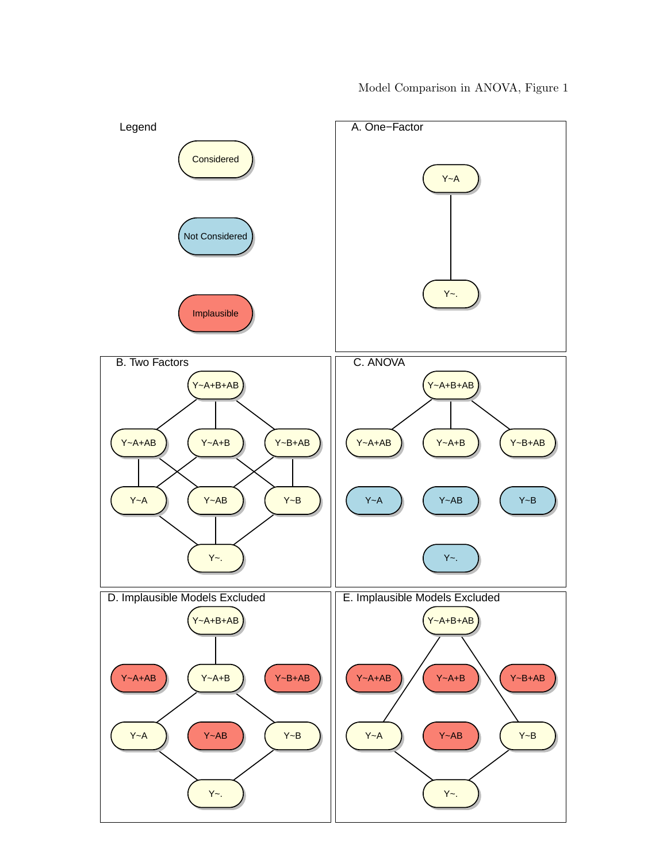

Model Comparison in ANOVA, Figure 1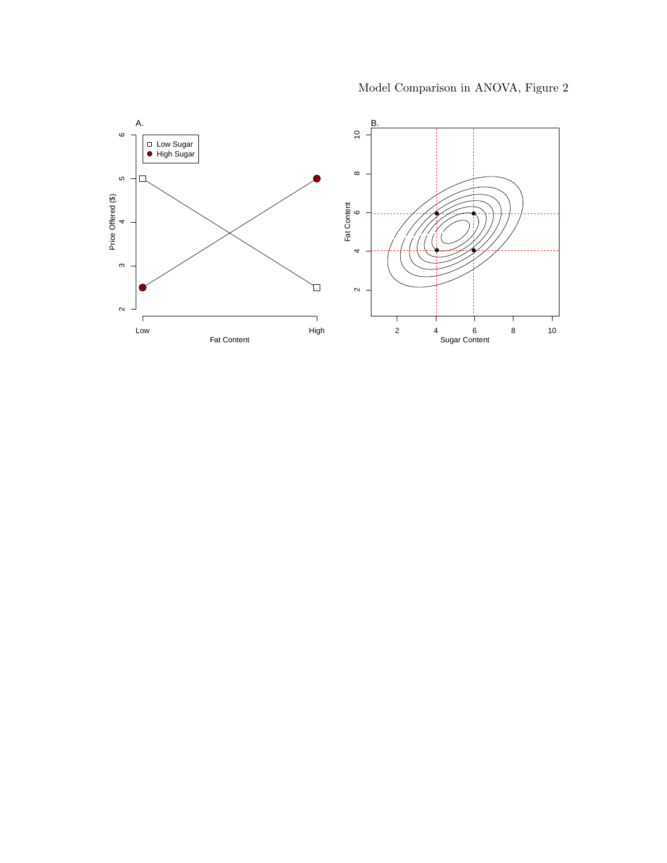